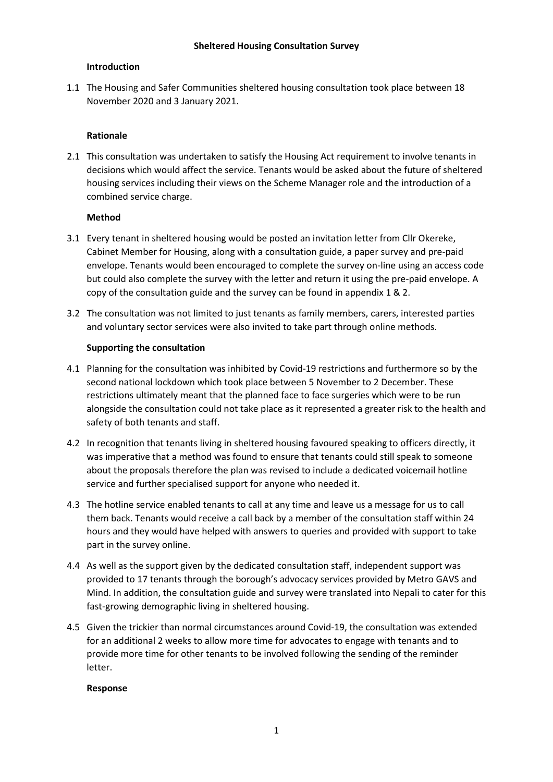## **Introduction**

1.1 The Housing and Safer Communities sheltered housing consultation took place between 18 November 2020 and 3 January 2021.

## **Rationale**

2.1 This consultation was undertaken to satisfy the Housing Act requirement to involve tenants in decisions which would affect the service. Tenants would be asked about the future of sheltered housing services including their views on the Scheme Manager role and the introduction of a combined service charge.

## **Method**

- 3.1 Every tenant in sheltered housing would be posted an invitation letter from Cllr Okereke, Cabinet Member for Housing, along with a consultation guide, a paper survey and pre-paid envelope. Tenants would been encouraged to complete the survey on-line using an access code but could also complete the survey with the letter and return it using the pre-paid envelope. A copy of the consultation guide and the survey can be found in appendix 1 & 2.
- 3.2 The consultation was not limited to just tenants as family members, carers, interested parties and voluntary sector services were also invited to take part through online methods.

#### **Supporting the consultation**

- 4.1 Planning for the consultation was inhibited by Covid-19 restrictions and furthermore so by the second national lockdown which took place between 5 November to 2 December. These restrictions ultimately meant that the planned face to face surgeries which were to be run alongside the consultation could not take place as it represented a greater risk to the health and safety of both tenants and staff.
- 4.2 In recognition that tenants living in sheltered housing favoured speaking to officers directly, it was imperative that a method was found to ensure that tenants could still speak to someone about the proposals therefore the plan was revised to include a dedicated voicemail hotline service and further specialised support for anyone who needed it.
- 4.3 The hotline service enabled tenants to call at any time and leave us a message for us to call them back. Tenants would receive a call back by a member of the consultation staff within 24 hours and they would have helped with answers to queries and provided with support to take part in the survey online.
- 4.4 As well as the support given by the dedicated consultation staff, independent support was provided to 17 tenants through the borough's advocacy services provided by Metro GAVS and Mind. In addition, the consultation guide and survey were translated into Nepali to cater for this fast-growing demographic living in sheltered housing.
- 4.5 Given the trickier than normal circumstances around Covid-19, the consultation was extended for an additional 2 weeks to allow more time for advocates to engage with tenants and to provide more time for other tenants to be involved following the sending of the reminder letter.

#### **Response**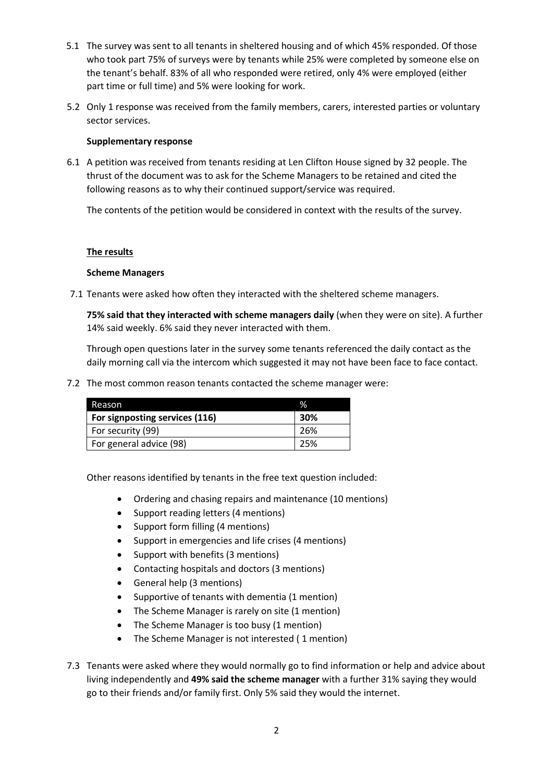- 5.1 The survey was sent to all tenants in sheltered housing and of which 45% responded. Of those who took part 75% of surveys were by tenants while 25% were completed by someone else on the tenant's behalf. 83% of all who responded were retired, only 4% were employed (either part time or full time) and 5% were looking for work.
- 5.2 Only 1 response was received from the family members, carers, interested parties or voluntary sector services.

## **Supplementary response**

6.1 A petition was received from tenants residing at Len Clifton House signed by 32 people. The thrust of the document was to ask for the Scheme Managers to be retained and cited the following reasons as to why their continued support/service was required.

The contents of the petition would be considered in context with the results of the survey.

## **The results**

## **Scheme Managers**

7.1 Tenants were asked how often they interacted with the sheltered scheme managers.

**75% said that they interacted with scheme managers daily** (when they were on site). A further 14% said weekly. 6% said they never interacted with them.

Through open questions later in the survey some tenants referenced the daily contact as the daily morning call via the intercom which suggested it may not have been face to face contact.

7.2 The most common reason tenants contacted the scheme manager were:

| Reason                         | $\%$ |
|--------------------------------|------|
| For signposting services (116) | 30%  |
| For security (99)              | -26% |
| For general advice (98)        | 25%  |

Other reasons identified by tenants in the free text question included:

- Ordering and chasing repairs and maintenance (10 mentions)
- Support reading letters (4 mentions)
- Support form filling (4 mentions)
- Support in emergencies and life crises (4 mentions)
- Support with benefits (3 mentions)
- Contacting hospitals and doctors (3 mentions)
- General help (3 mentions)
- Supportive of tenants with dementia (1 mention)
- The Scheme Manager is rarely on site (1 mention)
- The Scheme Manager is too busy (1 mention)
- The Scheme Manager is not interested ( 1 mention)
- 7.3 Tenants were asked where they would normally go to find information or help and advice about living independently and **49% said the scheme manager** with a further 31% saying they would go to their friends and/or family first. Only 5% said they would the internet.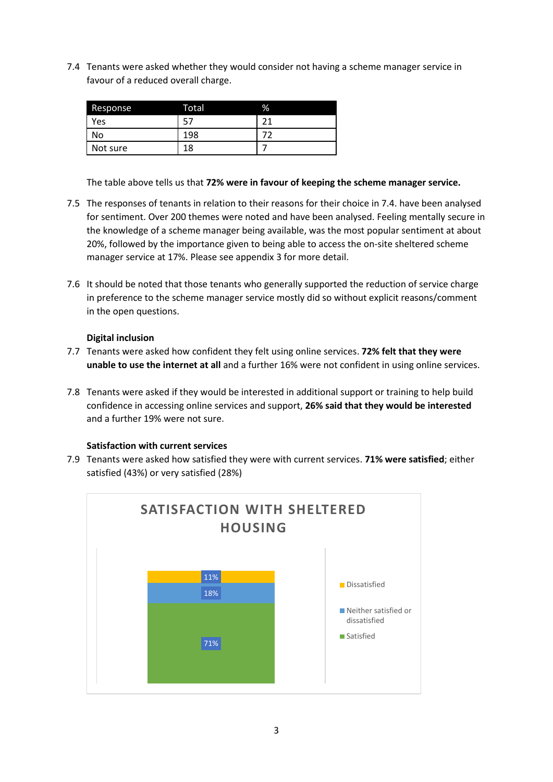7.4 Tenants were asked whether they would consider not having a scheme manager service in favour of a reduced overall charge.

| Response | Total | % |
|----------|-------|---|
| Yes      |       |   |
| No       | 198   |   |
| Not sure | 18    |   |

The table above tells us that **72% were in favour of keeping the scheme manager service.**

- 7.5 The responses of tenants in relation to their reasons for their choice in 7.4. have been analysed for sentiment. Over 200 themes were noted and have been analysed. Feeling mentally secure in the knowledge of a scheme manager being available, was the most popular sentiment at about 20%, followed by the importance given to being able to access the on-site sheltered scheme manager service at 17%. Please see appendix 3 for more detail.
- 7.6 It should be noted that those tenants who generally supported the reduction of service charge in preference to the scheme manager service mostly did so without explicit reasons/comment in the open questions.

## **Digital inclusion**

- 7.7 Tenants were asked how confident they felt using online services. **72% felt that they were unable to use the internet at all** and a further 16% were not confident in using online services.
- 7.8 Tenants were asked if they would be interested in additional support or training to help build confidence in accessing online services and support, **26% said that they would be interested** and a further 19% were not sure.

#### **Satisfaction with current services**

7.9 Tenants were asked how satisfied they were with current services. **71% were satisfied**; either satisfied (43%) or very satisfied (28%)

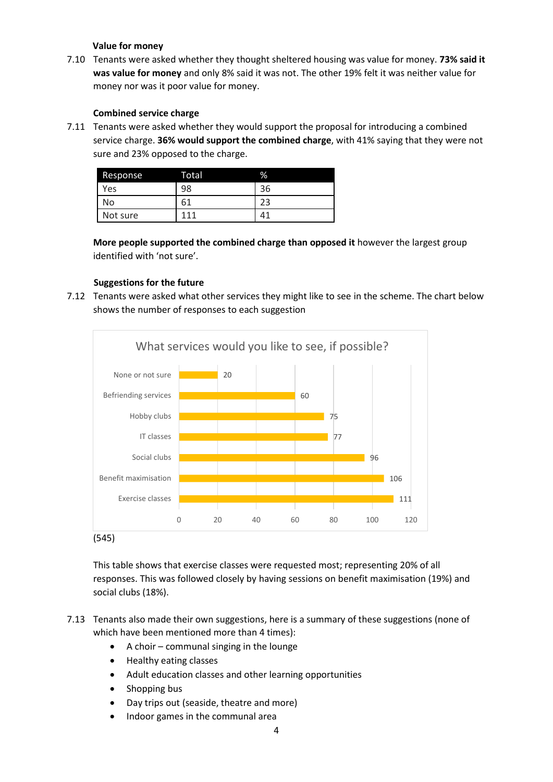## **Value for money**

7.10 Tenants were asked whether they thought sheltered housing was value for money. **73% said it was value for money** and only 8% said it was not. The other 19% felt it was neither value for money nor was it poor value for money.

# **Combined service charge**

7.11 Tenants were asked whether they would support the proposal for introducing a combined service charge. **36% would support the combined charge**, with 41% saying that they were not sure and 23% opposed to the charge.

| Response | Total | %  |
|----------|-------|----|
| Yes      | 98    | 36 |
| No       | 6.    |    |
| Not sure | 111   | 4  |

**More people supported the combined charge than opposed it** however the largest group identified with 'not sure'.

# **Suggestions for the future**

7.12 Tenants were asked what other services they might like to see in the scheme. The chart below shows the number of responses to each suggestion



This table shows that exercise classes were requested most; representing 20% of all responses. This was followed closely by having sessions on benefit maximisation (19%) and social clubs (18%).

- 7.13 Tenants also made their own suggestions, here is a summary of these suggestions (none of which have been mentioned more than 4 times):
	- A choir communal singing in the lounge
	- Healthy eating classes
	- Adult education classes and other learning opportunities
	- Shopping bus
	- Day trips out (seaside, theatre and more)
	- Indoor games in the communal area